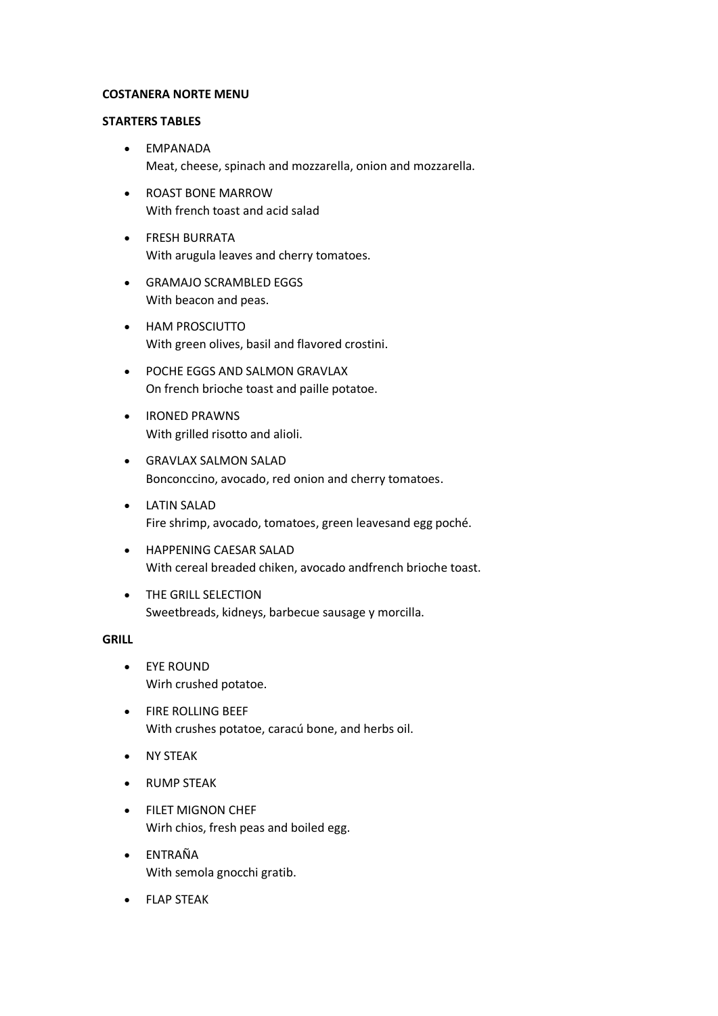# **COSTANERA NORTE MENU**

#### **STARTERS TABLES**

- EMPANADA Meat, cheese, spinach and mozzarella, onion and mozzarella.
- ROAST BONE MARROW With french toast and acid salad
- **•** FRESH BURRATA With arugula leaves and cherry tomatoes.
- GRAMAJO SCRAMBLED EGGS With beacon and peas.
- HAM PROSCIUTTO With green olives, basil and flavored crostini.
- POCHE EGGS AND SALMON GRAVLAX On french brioche toast and paille potatoe.
- **•** IRONED PRAWNS With grilled risotto and alioli.
- GRAVLAX SALMON SALAD Bonconccino, avocado, red onion and cherry tomatoes.
- LATIN SALAD Fire shrimp, avocado, tomatoes, green leavesand egg poché.
- HAPPENING CAESAR SALAD With cereal breaded chiken, avocado andfrench brioche toast.
- **THE GRILL SELECTION** Sweetbreads, kidneys, barbecue sausage y morcilla.

#### **GRILL**

- EYE ROUND Wirh crushed potatoe.
- **•** FIRE ROLLING BEEF With crushes potatoe, caracú bone, and herbs oil.
- NY STEAK
- **•** RUMP STEAK
- **FILET MIGNON CHEF** Wirh chios, fresh peas and boiled egg.
- ENTRAÑA With semola gnocchi gratib.
- FLAP STEAK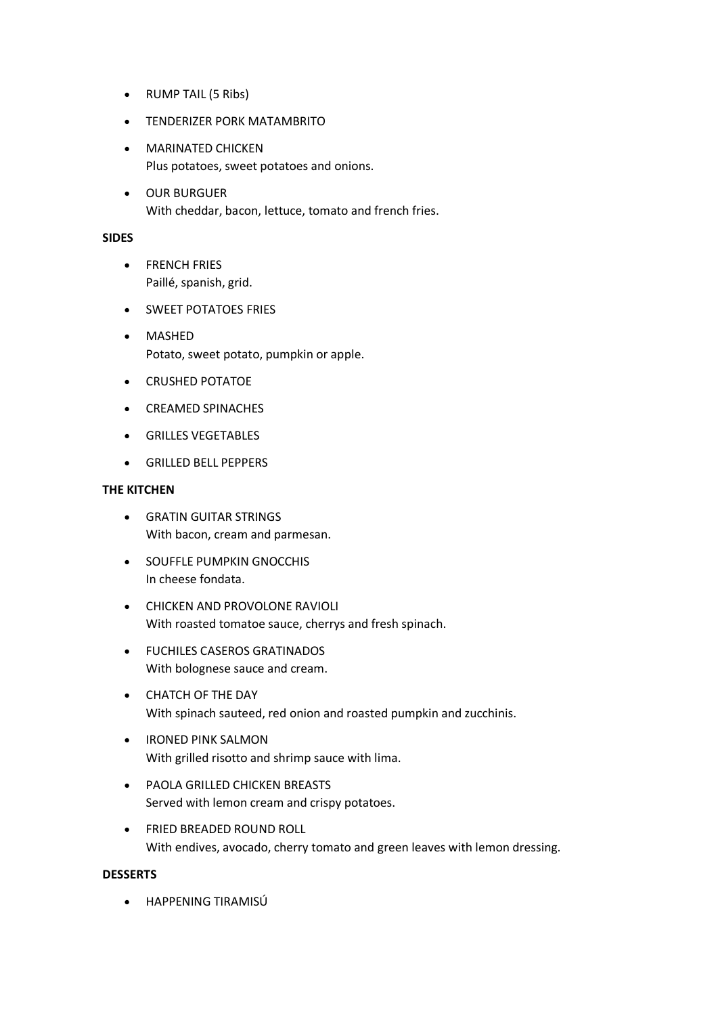- RUMP TAIL (5 Ribs)
- TENDERIZER PORK MATAMBRITO
- **MARINATED CHICKEN** Plus potatoes, sweet potatoes and onions.
- OUR BURGUER With cheddar, bacon, lettuce, tomato and french fries.

# **SIDES**

- **•** FRENCH FRIES Paillé, spanish, grid.
- **SWEET POTATOES FRIES**
- MASHED Potato, sweet potato, pumpkin or apple.
- **•** CRUSHED POTATOE
- CREAMED SPINACHES
- **GRILLES VEGETABLES**
- GRILLED BELL PEPPERS

# **THE KITCHEN**

- GRATIN GUITAR STRINGS With bacon, cream and parmesan.
- **SOUFFLE PUMPKIN GNOCCHIS** In cheese fondata.
- **CHICKEN AND PROVOLONE RAVIOLI** With roasted tomatoe sauce, cherrys and fresh spinach.
- FUCHILES CASEROS GRATINADOS With bolognese sauce and cream.
- CHATCH OF THE DAY With spinach sauteed, red onion and roasted pumpkin and zucchinis.
- **IRONED PINK SALMON** With grilled risotto and shrimp sauce with lima.
- PAOLA GRILLED CHICKEN BREASTS Served with lemon cream and crispy potatoes.
- **FRIED BREADED ROUND ROLL** With endives, avocado, cherry tomato and green leaves with lemon dressing.

# **DESSERTS**

HAPPENING TIRAMISÚ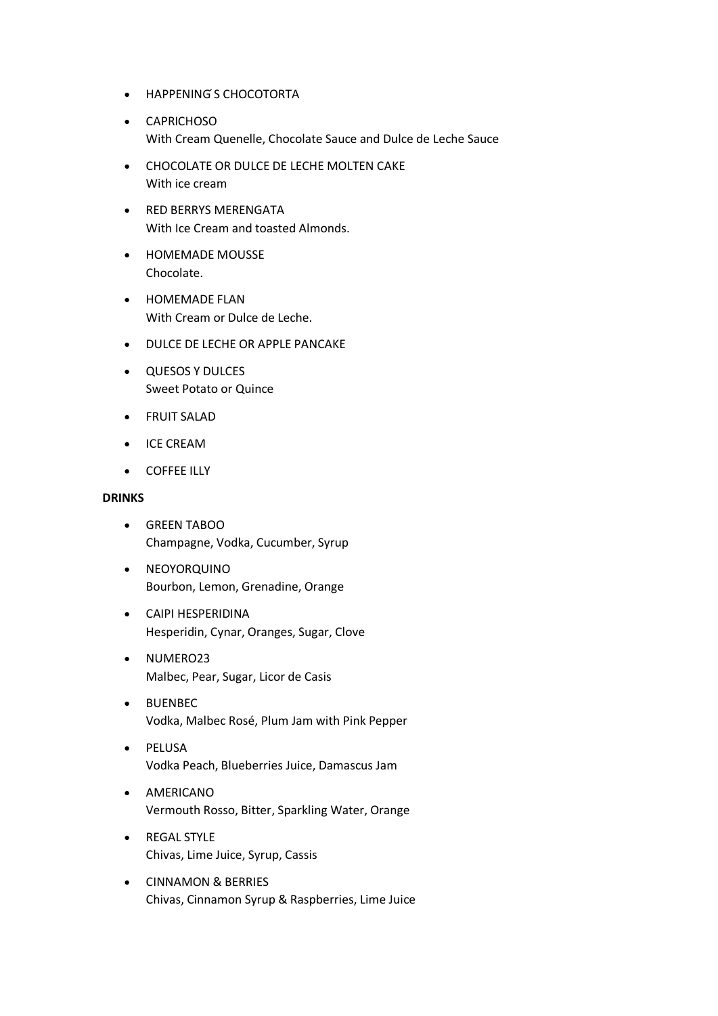- HAPPENING ́S CHOCOTORTA
- CAPRICHOSO With Cream Quenelle, Chocolate Sauce and Dulce de Leche Sauce
- CHOCOLATE OR DULCE DE LECHE MOLTEN CAKE With ice cream
- **RED BERRYS MERENGATA** With Ice Cream and toasted Almonds.
- HOMEMADE MOUSSE Chocolate.
- **•** HOMEMADE FLAN With Cream or Dulce de Leche.
- DULCE DE LECHE OR APPLE PANCAKE
- QUESOS Y DULCES Sweet Potato or Quince
- **•** FRUIT SALAD
- **•** ICE CREAM
- **•** COFFEE ILLY

#### **DRINKS**

- GREEN TABOO Champagne, Vodka, Cucumber, Syrup
- NEOYORQUINO Bourbon, Lemon, Grenadine, Orange
- CAIPI HESPERIDINA Hesperidin, Cynar, Oranges, Sugar, Clove
- NUMERO23 Malbec, Pear, Sugar, Licor de Casis
- BUENBEC Vodka, Malbec Rosé, Plum Jam with Pink Pepper
- · PELUSA Vodka Peach, Blueberries Juice, Damascus Jam
- **•** AMERICANO Vermouth Rosso, Bitter, Sparkling Water, Orange
- REGAL STYLE Chivas, Lime Juice, Syrup, Cassis
- CINNAMON & BERRIES Chivas, Cinnamon Syrup & Raspberries, Lime Juice